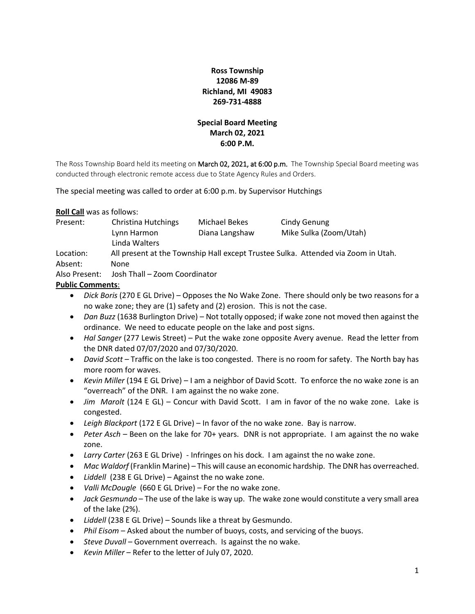# **Ross Township 12086 M-89 Richland, MI 49083 269-731-4888**

# **Special Board Meeting March 02, 2021 6:00 P.M.**

The Ross Township Board held its meeting on March 02, 2021, at 6:00 p.m. The Township Special Board meeting was conducted through electronic remote access due to State Agency Rules and Orders.

The special meeting was called to order at 6:00 p.m. by Supervisor Hutchings

**Roll Call** was as follows:

| Present:      | Christina Hutchings                                                               | Michael Bekes  | Cindy Genung           |
|---------------|-----------------------------------------------------------------------------------|----------------|------------------------|
|               | Lynn Harmon                                                                       | Diana Langshaw | Mike Sulka (Zoom/Utah) |
|               | Linda Walters                                                                     |                |                        |
| Location:     | All present at the Township Hall except Trustee Sulka. Attended via Zoom in Utah. |                |                        |
| Absent:       | <b>None</b>                                                                       |                |                        |
| Also Present: | Josh Thall – Zoom Coordinator                                                     |                |                        |

### **Public Comments**:

- *Dick Boris* (270 E GL Drive) Opposes the No Wake Zone. There should only be two reasons for a no wake zone; they are (1) safety and (2) erosion. This is not the case.
- *Dan Buzz* (1638 Burlington Drive) Not totally opposed; if wake zone not moved then against the ordinance. We need to educate people on the lake and post signs.
- *Hal Sanger* (277 Lewis Street) Put the wake zone opposite Avery avenue. Read the letter from the DNR dated 07/07/2020 and 07/30/2020.
- *David Scott* Traffic on the lake is too congested. There is no room for safety. The North bay has more room for waves.
- *Kevin Miller* (194 E GL Drive) I am a neighbor of David Scott. To enforce the no wake zone is an "overreach" of the DNR. I am against the no wake zone.
- *Jim Marolt* (124 E GL) Concur with David Scott. I am in favor of the no wake zone. Lake is congested.
- *Leigh Blackport* (172 E GL Drive) In favor of the no wake zone. Bay is narrow.
- *Peter Asch* Been on the lake for 70+ years. DNR is not appropriate. I am against the no wake zone.
- *Larry Carter* (263 E GL Drive) Infringes on his dock. I am against the no wake zone.
- *Mac Waldorf* (Franklin Marine) This will cause an economic hardship. The DNR has overreached.
- *Liddell* (238 E GL Drive) Against the no wake zone.
- *Valli McDougle* (660 E GL Drive) For the no wake zone.
- *Jack Gesmundo* The use of the lake is way up. The wake zone would constitute a very small area of the lake (2%).
- *Liddell* (238 E GL Drive) Sounds like a threat by Gesmundo.
- *Phil Eisom* Asked about the number of buoys, costs, and servicing of the buoys.
- *Steve Duvall* Government overreach. Is against the no wake.
- *Kevin Miller* Refer to the letter of July 07, 2020.